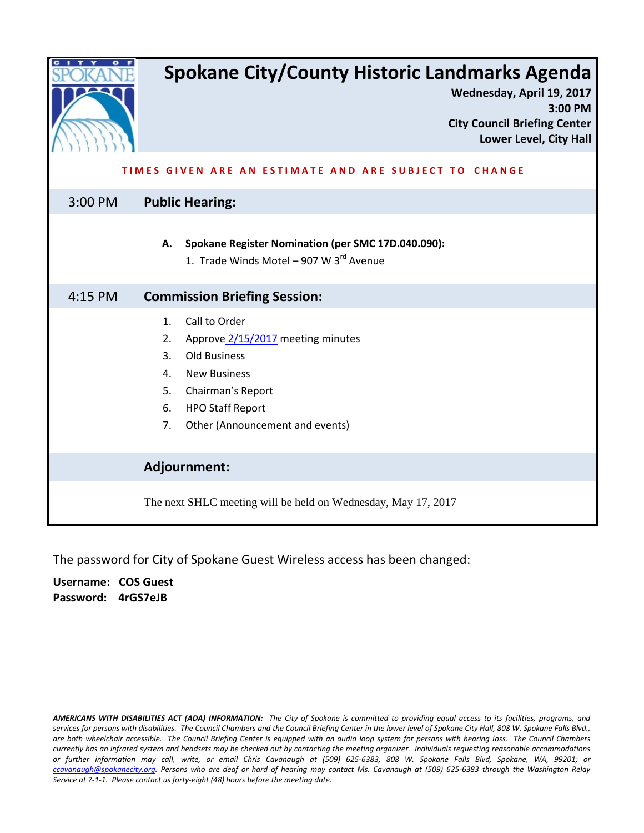|         | <b>Spokane City/County Historic Landmarks Agenda</b><br>Wednesday, April 19, 2017<br>3:00 PM<br><b>City Council Briefing Center</b><br>Lower Level, City Hall                                                          |
|---------|------------------------------------------------------------------------------------------------------------------------------------------------------------------------------------------------------------------------|
|         | GIVEN ARE AN ESTIMATE AND ARE SUBJECT TO CHANGE<br>TIMFS                                                                                                                                                               |
| 3:00 PM | <b>Public Hearing:</b>                                                                                                                                                                                                 |
|         | Spokane Register Nomination (per SMC 17D.040.090):<br>А.<br>1. Trade Winds Motel - 907 W 3rd Avenue                                                                                                                    |
| 4:15 PM | <b>Commission Briefing Session:</b>                                                                                                                                                                                    |
|         | Call to Order<br>1.<br>2.<br>Approve 2/15/2017 meeting minutes<br>Old Business<br>3.<br><b>New Business</b><br>4.<br>5.<br>Chairman's Report<br>6.<br><b>HPO Staff Report</b><br>7.<br>Other (Announcement and events) |
|         | Adjournment:                                                                                                                                                                                                           |
|         | The next SHLC meeting will be held on Wednesday, May 17, 2017                                                                                                                                                          |

The password for City of Spokane Guest Wireless access has been changed:

**Username: COS Guest Password: 4rGS7eJB**

*AMERICANS WITH DISABILITIES ACT (ADA) INFORMATION: The City of Spokane is committed to providing equal access to its facilities, programs, and services for persons with disabilities. The Council Chambers and the Council Briefing Center in the lower level of Spokane City Hall, 808 W. Spokane Falls Blvd., are both wheelchair accessible. The Council Briefing Center is equipped with an audio loop system for persons with hearing loss. The Council Chambers currently has an infrared system and headsets may be checked out by contacting the meeting organizer. Individuals requesting reasonable accommodations or further information may call, write, or email Chris Cavanaugh at (509) 625-6383, 808 W. Spokane Falls Blvd, Spokane, WA, 99201; or ccavanaugh@spokanecity.org. Persons who are deaf or hard of hearing may contact Ms. Cavanaugh at (509) 625-6383 through the Washington Relay Service at 7-1-1. Please contact us forty-eight (48) hours before the meeting date.*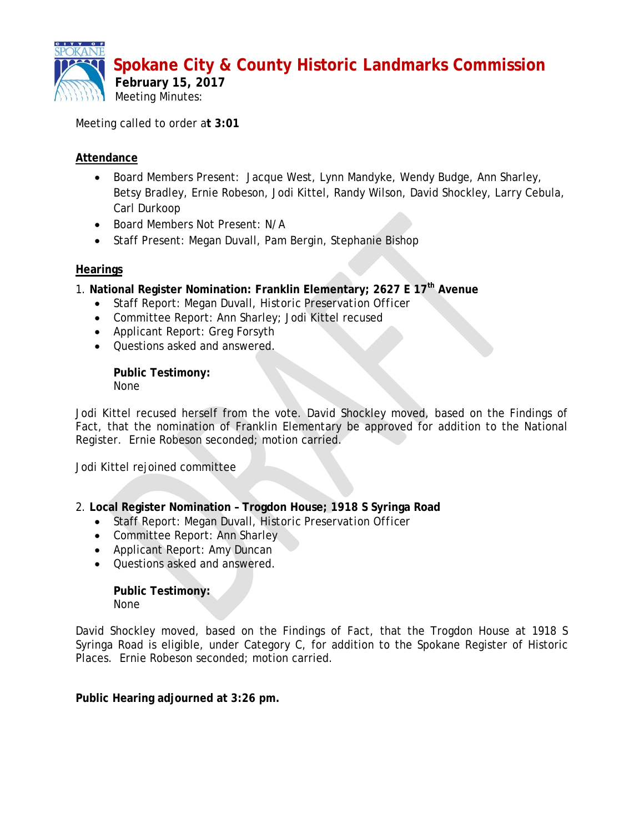<span id="page-1-0"></span>

Meeting called to order a**t 3:01**

## **Attendance**

- Board Members Present: Jacque West, Lynn Mandyke, Wendy Budge, Ann Sharley, Betsy Bradley, Ernie Robeson, Jodi Kittel, Randy Wilson, David Shockley, Larry Cebula, Carl Durkoop
- Board Members Not Present: N/A
- Staff Present: Megan Duvall, Pam Bergin, Stephanie Bishop

## **Hearings**

- 1. **National Register Nomination: Franklin Elementary; 2627 E 17th Avenue**
	- Staff Report: Megan Duvall, *Historic Preservation Officer*
	- Committee Report: Ann Sharley; Jodi Kittel recused
	- Applicant Report: Greg Forsyth
	- Questions asked and answered.

**Public Testimony:** None

Jodi Kittel recused herself from the vote. David Shockley moved, based on the Findings of Fact, that the nomination of Franklin Elementary be approved for addition to the National Register. Ernie Robeson seconded; motion carried.

Jodi Kittel rejoined committee

- 2. **Local Register Nomination Trogdon House; 1918 S Syringa Road**
	- Staff Report: Megan Duvall, *Historic Preservation Officer*
	- Committee Report: Ann Sharley
	- Applicant Report: Amy Duncan
	- Questions asked and answered.

**Public Testimony:** None

David Shockley moved, based on the Findings of Fact, that the Trogdon House at 1918 S Syringa Road is eligible, under Category C, for addition to the Spokane Register of Historic Places. Ernie Robeson seconded; motion carried.

**Public Hearing adjourned at 3:26 pm.**